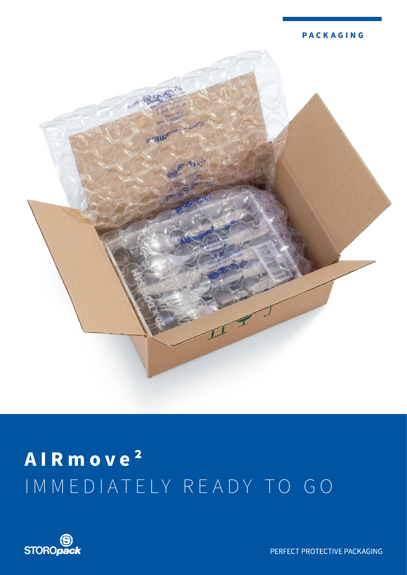



# AIRmove<sup>2</sup> IMMEDIATELY READY TO GO



PERFECT PROTECTIVE PACKAGING